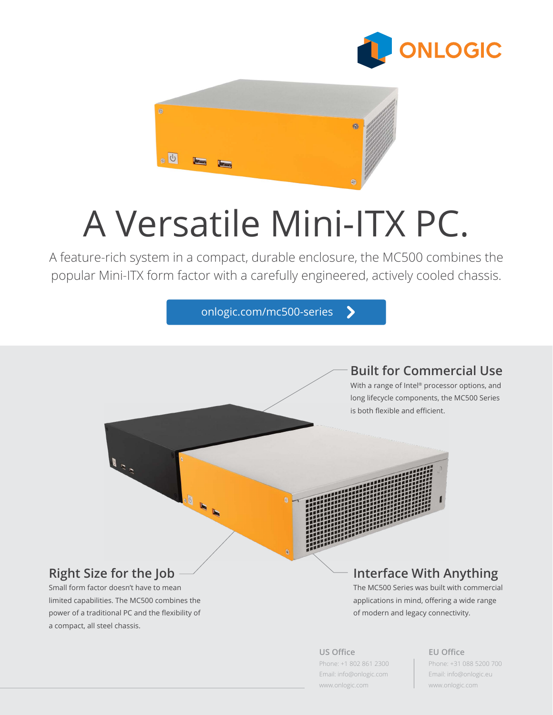



# A Versatile Mini-ITX PC.

A feature-rich system in a compact, durable enclosure, the MC500 combines the popular Mini-ITX form factor with a carefully engineered, actively cooled chassis.

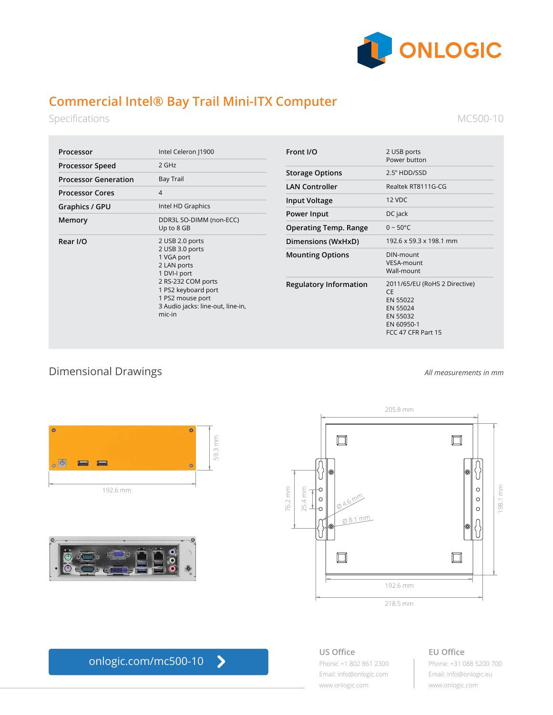

# **Commercial Intel® Bay Trail Mini-ITX Computer**

Specifications

MC500-10

| Processor                   | Intel Celeron J1900                                                                                                                                                                             |
|-----------------------------|-------------------------------------------------------------------------------------------------------------------------------------------------------------------------------------------------|
| <b>Processor Speed</b>      | $2$ GHz                                                                                                                                                                                         |
| <b>Processor Generation</b> | <b>Bay Trail</b>                                                                                                                                                                                |
| <b>Processor Cores</b>      | $\overline{\mathcal{A}}$                                                                                                                                                                        |
| Graphics / GPU              | Intel HD Graphics                                                                                                                                                                               |
| Memory                      | DDR3L SO-DIMM (non-ECC)<br>Up to 8 GB                                                                                                                                                           |
| Rear I/O                    | 2 USB 2.0 ports<br>2 USB 3.0 ports<br>1 VGA port<br>2 LAN ports<br>1 DVI-I port<br>2 RS-232 COM ports<br>1 PS2 keyboard port<br>1 PS2 mouse port<br>3 Audio jacks: line-out, line-in,<br>mic-in |

| Front I/O                     | 2 USB ports<br>Power button                                                                                        |
|-------------------------------|--------------------------------------------------------------------------------------------------------------------|
| <b>Storage Options</b>        | 2.5" HDD/SSD                                                                                                       |
| <b>LAN Controller</b>         | Realtek RT8111G-CG                                                                                                 |
| <b>Input Voltage</b>          | 12 VDC                                                                                                             |
| Power Input                   | DC jack                                                                                                            |
| <b>Operating Temp. Range</b>  | $0 - 50^{\circ}$ C                                                                                                 |
| Dimensions (WxHxD)            | 192.6 x 59.3 x 198.1 mm                                                                                            |
| <b>Mounting Options</b>       | DIN-mount<br>VESA-mount<br>Wall-mount                                                                              |
| <b>Regulatory Information</b> | 2011/65/EU (RoHS 2 Directive)<br><b>CE</b><br>EN 55022<br>EN 55024<br>EN 55032<br>EN 60950-1<br>FCC 47 CFR Part 15 |

# Dimensional Drawings



192.6 mm





### **US Office** Phone: +1 802 861 2300 Email: info@onlogic.com [www.onlogic.com](http://www.onlogic.com)

# **EU Office**

Phone: +31 088 5200 700 Email: info@onlogic.eu [www.onlogic.com](http://www.onlogic.com)

*All measurements in mm*

#### $\blacktriangleright$ [onlogic.com/mc500-1](http://onlogic.com/mc500-series)0